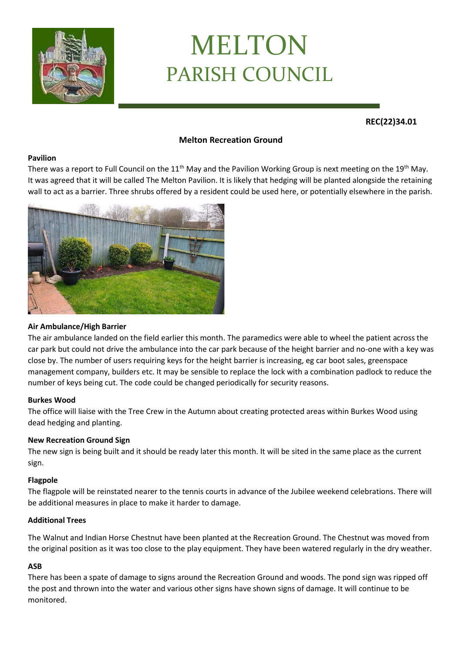

# MELTON PARISH COUNCIL

**REC(22)34.01**

# **Melton Recreation Ground**

#### **Pavilion**

There was a report to Full Council on the 11<sup>th</sup> May and the Pavilion Working Group is next meeting on the 19<sup>th</sup> May. It was agreed that it will be called The Melton Pavilion. It is likely that hedging will be planted alongside the retaining wall to act as a barrier. Three shrubs offered by a resident could be used here, or potentially elsewhere in the parish.



## **Air Ambulance/High Barrier**

The air ambulance landed on the field earlier this month. The paramedics were able to wheel the patient across the car park but could not drive the ambulance into the car park because of the height barrier and no-one with a key was close by. The number of users requiring keys for the height barrier is increasing, eg car boot sales, greenspace management company, builders etc. It may be sensible to replace the lock with a combination padlock to reduce the number of keys being cut. The code could be changed periodically for security reasons.

## **Burkes Wood**

The office will liaise with the Tree Crew in the Autumn about creating protected areas within Burkes Wood using dead hedging and planting.

## **New Recreation Ground Sign**

The new sign is being built and it should be ready later this month. It will be sited in the same place as the current sign.

#### **Flagpole**

The flagpole will be reinstated nearer to the tennis courts in advance of the Jubilee weekend celebrations. There will be additional measures in place to make it harder to damage.

#### **Additional Trees**

The Walnut and Indian Horse Chestnut have been planted at the Recreation Ground. The Chestnut was moved from the original position as it was too close to the play equipment. They have been watered regularly in the dry weather.

## **ASB**

There has been a spate of damage to signs around the Recreation Ground and woods. The pond sign was ripped off the post and thrown into the water and various other signs have shown signs of damage. It will continue to be monitored.